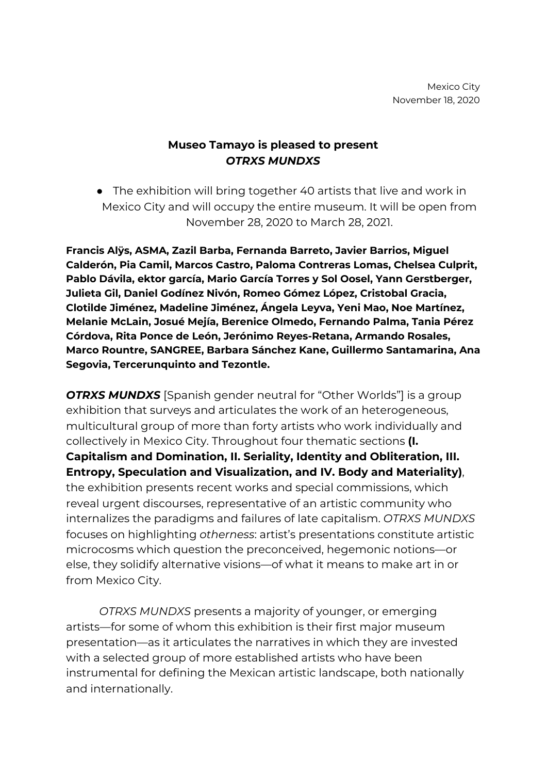## **Museo Tamayo is pleased to present** *OTRXS MUNDXS*

● The exhibition will bring together 40 artists that live and work in Mexico City and will occupy the entire museum. It will be open from November 28, 2020 to March 28, 2021.

**Francis Alÿs, ASMA, Zazil Barba, Fernanda Barreto, Javier Barrios, Miguel Calderón, Pia Camil, Marcos Castro, Paloma Contreras Lomas, Chelsea Culprit, Pablo Dávila, ektor garcía, Mario García Torres y Sol Oosel, Yann Gerstberger, Julieta Gil, Daniel Godínez Nivón, Romeo Gómez López, Cristobal Gracia, Clotilde Jiménez, Madeline Jiménez, Ángela Leyva, Yeni Mao, Noe Martínez, Melanie McLain, Josué Mejía, Berenice Olmedo, Fernando Palma, Tania Pérez Córdova, Rita Ponce de León, Jerónimo Reyes-Retana, Armando Rosales, Marco Rountre, SANGREE, Barbara Sánchez Kane, Guillermo Santamarina, Ana Segovia, Tercerunquinto and Tezontle.**

*OTRXS MUNDXS* [Spanish gender neutral for "Other Worlds"] is a group exhibition that surveys and articulates the work of an heterogeneous, multicultural group of more than forty artists who work individually and collectively in Mexico City. Throughout four thematic sections **(I. Capitalism and Domination, II. Seriality, Identity and Obliteration, III. Entropy, Speculation and Visualization, and IV. Body and Materiality)**, the exhibition presents recent works and special commissions, which reveal urgent discourses, representative of an artistic community who internalizes the paradigms and failures of late capitalism. *OTRXS MUNDXS* focuses on highlighting *otherness*: artist's presentations constitute artistic microcosms which question the preconceived, hegemonic notions—or else, they solidify alternative visions—of what it means to make art in or from Mexico City.

*OTRXS MUNDXS* presents a majority of younger, or emerging artists—for some of whom this exhibition is their first major museum presentation—as it articulates the narratives in which they are invested with a selected group of more established artists who have been instrumental for defining the Mexican artistic landscape, both nationally and internationally.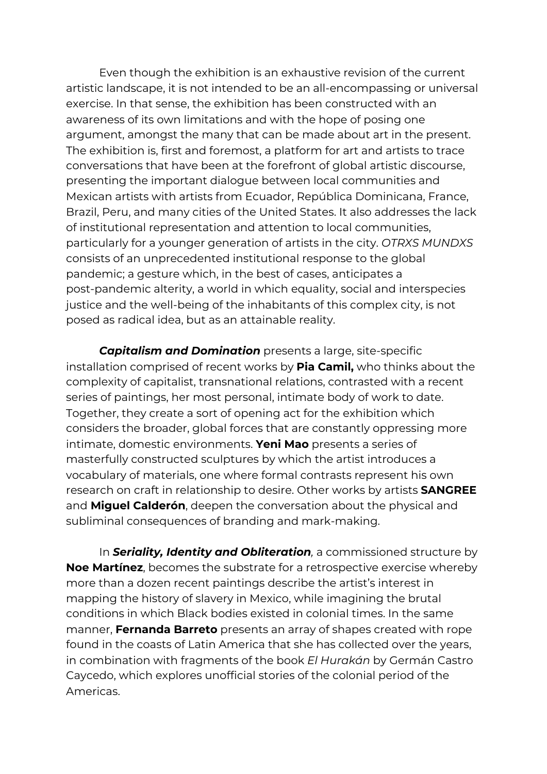Even though the exhibition is an exhaustive revision of the current artistic landscape, it is not intended to be an all-encompassing or universal exercise. In that sense, the exhibition has been constructed with an awareness of its own limitations and with the hope of posing one argument, amongst the many that can be made about art in the present. The exhibition is, first and foremost, a platform for art and artists to trace conversations that have been at the forefront of global artistic discourse, presenting the important dialogue between local communities and Mexican artists with artists from Ecuador, República Dominicana, France, Brazil, Peru, and many cities of the United States. It also addresses the lack of institutional representation and attention to local communities, particularly for a younger generation of artists in the city. *OTRXS MUNDXS* consists of an unprecedented institutional response to the global pandemic; a gesture which, in the best of cases, anticipates a post-pandemic alterity, a world in which equality, social and interspecies justice and the well-being of the inhabitants of this complex city, is not posed as radical idea, but as an attainable reality.

*Capitalism and Domination* presents a large, site-specific installation comprised of recent works by **Pia Camil,** who thinks about the complexity of capitalist, transnational relations, contrasted with a recent series of paintings, her most personal, intimate body of work to date. Together, they create a sort of opening act for the exhibition which considers the broader, global forces that are constantly oppressing more intimate, domestic environments. **Yeni Mao** presents a series of masterfully constructed sculptures by which the artist introduces a vocabulary of materials, one where formal contrasts represent his own research on craft in relationship to desire. Other works by artists **SANGREE** and **Miguel Calderón**, deepen the conversation about the physical and subliminal consequences of branding and mark-making.

In *Seriality, Identity and Obliteration,* a commissioned structure by **Noe Martínez**, becomes the substrate for a retrospective exercise whereby more than a dozen recent paintings describe the artist's interest in mapping the history of slavery in Mexico, while imagining the brutal conditions in which Black bodies existed in colonial times. In the same manner, **Fernanda Barreto** presents an array of shapes created with rope found in the coasts of Latin America that she has collected over the years, in combination with fragments of the book *El Hurakán* by Germán Castro Caycedo, which explores unofficial stories of the colonial period of the Americas.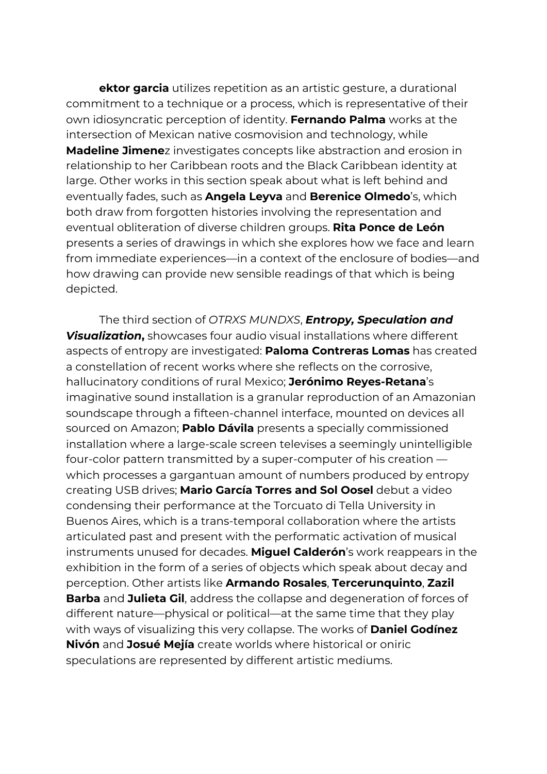**ektor garcia** utilizes repetition as an artistic gesture, a durational commitment to a technique or a process, which is representative of their own idiosyncratic perception of identity. **Fernando Palma** works at the intersection of Mexican native cosmovision and technology, while **Madeline Jimene**z investigates concepts like abstraction and erosion in relationship to her Caribbean roots and the Black Caribbean identity at large. Other works in this section speak about what is left behind and eventually fades, such as **Angela Leyva** and **Berenice Olmedo**'s, which both draw from forgotten histories involving the representation and eventual obliteration of diverse children groups. **Rita Ponce de León** presents a series of drawings in which she explores how we face and learn from immediate experiences—in a context of the enclosure of bodies—and how drawing can provide new sensible readings of that which is being depicted.

The third section of *OTRXS MUNDXS*, *Entropy, Speculation and Visualization***,** showcases four audio visual installations where different aspects of entropy are investigated: **Paloma Contreras Lomas** has created a constellation of recent works where she reflects on the corrosive, hallucinatory conditions of rural Mexico; **Jerónimo Reyes-Retana**'s imaginative sound installation is a granular reproduction of an Amazonian soundscape through a fifteen-channel interface, mounted on devices all sourced on Amazon; **Pablo Dávila** presents a specially commissioned installation where a large-scale screen televises a seemingly unintelligible four-color pattern transmitted by a super-computer of his creation which processes a gargantuan amount of numbers produced by entropy creating USB drives; **Mario García Torres and Sol Oosel** debut a video condensing their performance at the Torcuato di Tella University in Buenos Aires, which is a trans-temporal collaboration where the artists articulated past and present with the performatic activation of musical instruments unused for decades. **Miguel Calderón**'s work reappears in the exhibition in the form of a series of objects which speak about decay and perception. Other artists like **Armando Rosales**, **Tercerunquinto**, **Zazil Barba** and **Julieta Gil**, address the collapse and degeneration of forces of different nature—physical or political—at the same time that they play with ways of visualizing this very collapse. The works of **Daniel Godínez Nivón** and **Josué Mejía** create worlds where historical or oniric speculations are represented by different artistic mediums.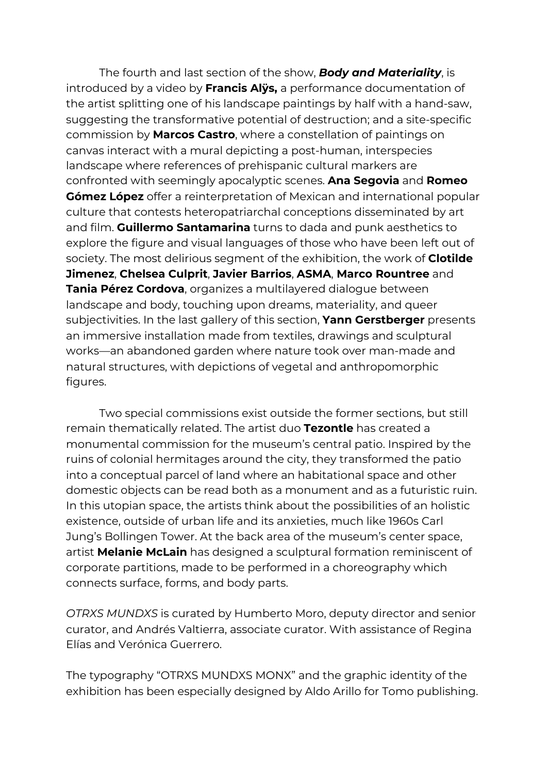The fourth and last section of the show, *Body and Materiality*, is introduced by a video by **Francis Alÿs,** a performance documentation of the artist splitting one of his landscape paintings by half with a hand-saw, suggesting the transformative potential of destruction; and a site-specific commission by **Marcos Castro**, where a constellation of paintings on canvas interact with a mural depicting a post-human, interspecies landscape where references of prehispanic cultural markers are confronted with seemingly apocalyptic scenes. **Ana Segovia** and **Romeo Gómez López** offer a reinterpretation of Mexican and international popular culture that contests heteropatriarchal conceptions disseminated by art and film. **Guillermo Santamarina** turns to dada and punk aesthetics to explore the figure and visual languages of those who have been left out of society. The most delirious segment of the exhibition, the work of **Clotilde Jimenez**, **Chelsea Culprit**, **Javier Barrios**, **ASMA**, **Marco Rountree** and **Tania Pérez Cordova**, organizes a multilayered dialogue between landscape and body, touching upon dreams, materiality, and queer subjectivities. In the last gallery of this section, **Yann Gerstberger** presents an immersive installation made from textiles, drawings and sculptural works—an abandoned garden where nature took over man-made and natural structures, with depictions of vegetal and anthropomorphic figures.

Two special commissions exist outside the former sections, but still remain thematically related. The artist duo **Tezontle** has created a monumental commission for the museum's central patio. Inspired by the ruins of colonial hermitages around the city, they transformed the patio into a conceptual parcel of land where an habitational space and other domestic objects can be read both as a monument and as a futuristic ruin. In this utopian space, the artists think about the possibilities of an holistic existence, outside of urban life and its anxieties, much like 1960s Carl Jung's Bollingen Tower. At the back area of the museum's center space, artist **Melanie McLain** has designed a sculptural formation reminiscent of corporate partitions, made to be performed in a choreography which connects surface, forms, and body parts.

*OTRXS MUNDXS* is curated by Humberto Moro, deputy director and senior curator, and Andrés Valtierra, associate curator. With assistance of Regina Elías and Verónica Guerrero.

The typography "OTRXS MUNDXS MONX" and the graphic identity of the exhibition has been especially designed by Aldo Arillo for Tomo publishing.